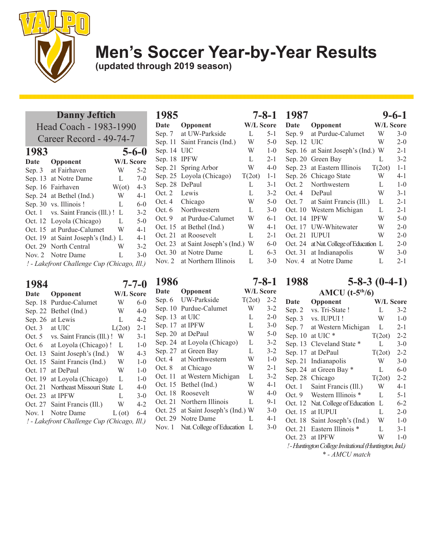

**(updated through 2019 season)**

#### **Danny Jeftich**

|          | Head Coach - 1983-1990                      |                  |             |
|----------|---------------------------------------------|------------------|-------------|
|          | Career Record - 49-74-7                     |                  |             |
| 1983     |                                             |                  | $5 - 6 - 0$ |
| Date     | Opponent                                    | <b>W/L Score</b> |             |
| Sep. $3$ | at Fairhaven                                | W                | $5 - 2$     |
| Sep. 13  | at Notre Dame                               | L                | $7-0$       |
| Sep. 16  | Fairhaven                                   | $W(\alpha t)$    | $4 - 3$     |
| Sep. 24  | at Bethel (Ind.)                            | W                | $4 - 1$     |
| Sep. 30  | vs. Illinois !                              | L                | $6 - 0$     |
| Oct. 1   | vs. Saint Francis (Ill.) !                  | L                | $3 - 2$     |
| Oct. 12  | Loyola (Chicago)                            | L                | $5-0$       |
| Oct. 15  | at Purdue-Calumet                           | W                | $4 - 1$     |
| Oct. 19  | at Saint Joseph's (Ind.)                    | L                | $4 - 1$     |
| Oct. 29  | North Central                               | W                | $3 - 2$     |
| Nov. $2$ | Notre Dame                                  | L                | $3-0$       |
|          | ! - Lakefront Challenge Cup (Chicago, Ill.) |                  |             |

| 1984    |                                             |               | $7 - 7 - 0$      |
|---------|---------------------------------------------|---------------|------------------|
| Date    | Opponent                                    |               | <b>W/L Score</b> |
| Sep. 18 | Purdue-Calumet                              | W             | $6-0$            |
| Sep. 22 | Bethel (Ind.)                               | W             | $4-0$            |
| Sep. 26 | at Lewis                                    | L             | $4 - 2$          |
| Oct. 3  | at UIC                                      | L(2ot)        | $2 - 1$          |
| Oct. 5  | vs. Saint Francis (Ill.) !                  | W             | $3-1$            |
| Oct. 6  | at Loyola (Chicago) !                       | L             | $1 - 0$          |
| Oct. 13 | Saint Joseph's (Ind.)                       | W             | $4 - 3$          |
| Oct. 15 | Saint Francis (Ind.)                        | W             | $1 - 0$          |
| Oct. 17 | at DePaul                                   | W             | $1 - 0$          |
| Oct. 19 | at Loyola (Chicago)                         | L             | $1-0$            |
| Oct. 21 | Northeast Missouri State                    | L             | 4-0              |
| Oct. 23 | at IPFW                                     | L             | $3-0$            |
| Oct. 27 | Saint Francis (Ill.)                        | W             | $4 - 2$          |
| Nov. 1  | Notre Dame                                  | $L(\sigma t)$ | $6 - 4$          |
|         | ! - Lakefront Challenge Cup (Chicago, Ill.) |               |                  |

| 1985     |                          |                  | $7 - 8 - 1$ |
|----------|--------------------------|------------------|-------------|
| Date     | Opponent                 | <b>W/L Score</b> |             |
| Sep. 7   | at UW-Parkside           | L                | 5-1         |
| Sep. 11  | Saint Francis (Ind.)     | W                | $5 - 0$     |
| Sep. 14  | UIC                      | W                | $1 - 0$     |
| Sep. 18  | <b>IPFW</b>              | L                | $2 - 1$     |
| Sep. 21  | Spring Arbor             | W                | $4 - 0$     |
| Sep. 25  | Loyola (Chicago)         | T(2ot)           | $1 - 1$     |
| Sep. 28  | DePaul                   | L                | $3 - 1$     |
| Oct. 2   | Lewis                    | L                | $3 - 2$     |
| Oct. 4   | Chicago                  | W                | $5-0$       |
| Oct. 6   | Northwestern             | L                | $3-0$       |
| Oct. $9$ | at Purdue-Calumet        | W                | $6-1$       |
| Oct. 15  | at Bethel (Ind.)         | W                | $4 - 1$     |
| Oct. 21  | at Roosevelt             | L                | $2 - 1$     |
| Oct. 23  | at Saint Joseph's (Ind.) | W                | $6 - 0$     |
| Oct. 30  | at Notre Dame            | L                | $6 - 3$     |
| Nov. $2$ | at Northern Illinois     | L                | $3 - 0$     |

| 1986     |                            |                  | $7 - 8 - 1$ |
|----------|----------------------------|------------------|-------------|
| Date     | Opponent                   | <b>W/L Score</b> |             |
| Sep. 6   | UW-Parkside                | T(2ot)           | $2 - 2$     |
| Sep. 10  | Purdue-Calumet             | W                | $3 - 2$     |
| Sep. 13  | at UIC                     | L                | $2 - 0$     |
| Sep. 17  | at IPFW                    | L                | $3-0$       |
| Sep. 20  | at DePaul                  | W                | $5-0$       |
| Sep. 24  | at Loyola (Chicago)        | L                | $3 - 2$     |
| Sep. 27  | at Green Bay               | L                | $3 - 2$     |
| Oct.4    | at Northwestern            | W                | $1 - 0$     |
| Oct. 8   | at Chicago                 | W                | $2 - 1$     |
| Oct. 11  | at Western Michigan        | L                | $3 - 2$     |
| Oct. 15  | Bethel (Ind.)              | W                | $4 - 1$     |
| Oct. 18  | Roosevelt                  | W                | $4-0$       |
| Oct. 21  | Northern Illinois          | L                | $9-1$       |
| Oct. 25  | at Saint Joseph's (Ind.) W |                  | $3-0$       |
| Oct. 29  | Notre Dame                 | L                | 4-1         |
| Nov. $1$ | Nat. College of Education  | L                | $3-0$       |

#### **1987 9-6-1**  $\mathbf{Opponen}$ Sep. 9 at Purdue-Calumet W 3-0 Sep. 12 UIC W 2-0 Sep. 16 at Saint Joseph's (Ind.) W 2-1 Sep. 20 Green Bay L 3-2<br>Sep. 23 at Eastern Illinois T(2ot) 1-1 Sep. 23 at Eastern Illinois Sep. 26 Chicago State W 4-1 Oct. 2 Northwestern L 1-0 Oct. 4 DePaul W 3-1 Oct. 7 at Saint Francis (Ill.) L 2-1 Oct. 10 Western Michigan L 2-1<br>Oct. 14 IPFW W 5-0 Oct. 14 IPFW W 5-0 Oct. 17 UW-Whitewater W 2-0 Oct. 21 IUPUI W 2-0 Oct. 24 at Nat. College of Education L 2-0 Oct. 31 at Indianapolis W 3-0<br>Nov. 4 at Notre Dame L 2-1 Nov. 4 at Notre Dame L

**1988 5-8-3 (0-4-1) AMCU (t-5th/6)**

| <b>Date</b> | Opponent                                                                     | W/L Score |         |
|-------------|------------------------------------------------------------------------------|-----------|---------|
| Sep. 2      | vs. Tri-State !                                                              | L         | $3 - 2$ |
| Sep. 3      | vs. IUPUI !                                                                  | W         | $1 - 0$ |
| Sep. 7      | at Western Michigan                                                          | L         | $2 - 1$ |
| Sep. $10$   | at UIC *                                                                     | T(2ot)    | $2 - 2$ |
| Sep. 13     | Cleveland State                                                              | L         | $3-0$   |
| Sep. 17     | at DePaul                                                                    | T(2ot)    | $2 - 2$ |
| Sep. 21     | Indianapolis                                                                 | W         | $3-0$   |
| Sep. 24     | at Green Bay *                                                               | L         | $6 - 0$ |
| Sep. 28     | Chicago                                                                      | T(2ot)    | $2 - 2$ |
| Oct. 1      | Saint Francis (Ill.)                                                         | W         | $4 - 1$ |
| Oct. 9      | Western Illinois *                                                           | L         | 5-1     |
| Oct. 12     | Nat. College of Education                                                    | L         | $6 - 2$ |
| Oct. 15     | at IUPUI                                                                     | L         | $2 - 0$ |
| Oct. 18     | Saint Joseph's (Ind.)                                                        | W         | $1 - 0$ |
| Oct. 21     | Eastern Illinois *                                                           | L         | $3-1$   |
| Oct. 23     | at IPFW                                                                      | W         | $1 - 0$ |
|             | ! - Huntington College Invitational (Huntington, Ind.)                       |           |         |
|             | $\sim$ $\frac{1}{1}$ $\frac{1}{1}$ $\frac{1}{1}$ $\frac{1}{1}$ $\frac{1}{1}$ |           |         |

*\* - AMCU match*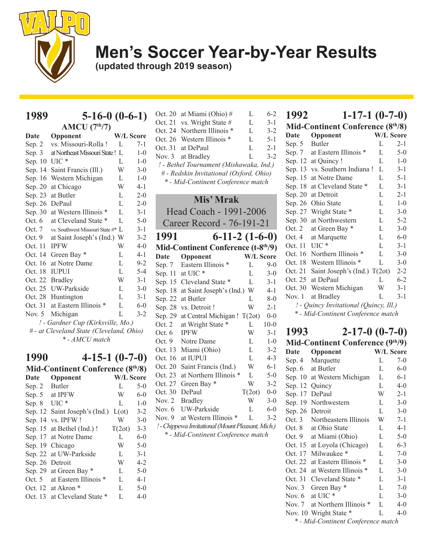

**(updated through 2019 season)**

| AMCU (7 <sup>th</sup> /7)                |                                   |    |                  |  |
|------------------------------------------|-----------------------------------|----|------------------|--|
| Date                                     | Opponent                          |    | <b>W/L Score</b> |  |
| Sep. 2                                   | vs. Missouri-Rolla!               | L  | $7 - 1$          |  |
| Sep. 3                                   | at Northeast Missouri State!      | L  | $1 - 0$          |  |
| Sep. 10                                  | UIC *                             | L  | $1 - 0$          |  |
| Sep. 14                                  | Saint Francis (Ill.)              | W  | $3-0$            |  |
| Sep. 16                                  | Western Michigan                  | L  | $1-0$            |  |
| Sep. 20                                  | at Chicago                        | W  | $4 - 1$          |  |
| Sep. 23                                  | at Butler                         | L  | $2 - 0$          |  |
| Sep. 26                                  | DePaul                            | L  | $2 - 0$          |  |
| Sep. 30                                  | at Western Illinois *             | L  | $3 - 1$          |  |
| Oct. $6$                                 | at Cleveland State                | L  | $5-0$            |  |
| Oct. 7                                   | vs. Southwest Missouri State #*   | Т. | $3-1$            |  |
| Oct. 9                                   | at Saint Joseph's (Ind.)          | W  | $3 - 2$          |  |
| Oct. 11                                  | <b>IPFW</b>                       | W  | $4 - 0$          |  |
| Oct. 14                                  | Green Bay *                       | L  | $4 - 1$          |  |
| Oct. 16                                  | at Notre Dame                     | L  | $9 - 2$          |  |
| Oct. 18                                  | <b>IUPUI</b>                      | L  | $5 - 4$          |  |
| Oct. 22                                  | <b>Bradley</b>                    | W  | $3-1$            |  |
| Oct. 25                                  | UW-Parkside                       | L  | $3 - 0$          |  |
| Oct. 28                                  | Huntington                        | L  | $3-1$            |  |
| Oct. 31                                  | at Eastern Illinois *             | L  | $6 - 0$          |  |
| Nov. $5$                                 | Michigan                          | L  | $3 - 2$          |  |
|                                          | ! - Gardner Cup (Kirksville, Mo.) |    |                  |  |
| # - at Cleveland State (Cleveland, Ohio) |                                   |    |                  |  |
| * - AMCU match                           |                                   |    |                  |  |

**1989 5-16-0 (0-6-1)**

## **1990 4-15-1 (0-7-0)**

| Mid-Continent Conference (8th/8) |                           |                  |         |  |
|----------------------------------|---------------------------|------------------|---------|--|
| Date                             | Opponent                  | <b>W/L Score</b> |         |  |
| Sep. 2                           | <b>Butler</b>             | L                | $5-0$   |  |
| Sep. $5$                         | at IPFW                   | W                | $6-0$   |  |
| Sep. 8                           | $UIC*$                    | L                | $1 - 0$ |  |
| Sep. 12                          | Saint Joseph's (Ind.)     | $L(\text{ot})$   | $3 - 2$ |  |
| Sep. 14                          | vs. IPFW!                 | W                | $3-0$   |  |
|                                  | Sep. 15 at Bethel (Ind.)! | T(2ot)           | $3 - 3$ |  |
| Sep. 17                          | at Notre Dame             | L                | $6-0$   |  |
| Sep. 19                          | Chicago                   | W                | $5-0$   |  |
| Sep. 22                          | at UW-Parkside            | L                | $3 - 1$ |  |
| Sep. 26                          | Detroit                   | W                | $4 - 2$ |  |
|                                  | Sep. 29 at Green Bay *    | L                | $5-0$   |  |
| Oct. $5$                         | at Eastern Illinois *     | L                | $4 - 1$ |  |
|                                  | Oct. 12 at Akron<br>∗     | L                | $5-0$   |  |
| Oct. 13                          | at Cleveland State *      | L                | $4 - 0$ |  |
|                                  |                           |                  |         |  |

| Oct. 20                                         | at Miami (Ohio) #                       | L                | $6 - 2$ |  |
|-------------------------------------------------|-----------------------------------------|------------------|---------|--|
| Oct. 21                                         | vs. Wright State #                      | L                | $3 - 1$ |  |
| Oct. 24                                         | Northern Illinois *                     | L                | $3 - 2$ |  |
| Oct. 26                                         | Western Illinois *                      | L                | $5 - 1$ |  |
| Oct. 31                                         | at DePaul                               | L                | $2 - 1$ |  |
| Nov. $3$                                        | at Bradley                              | L                | $3 - 2$ |  |
|                                                 | ! - Bethel Tournament (Mishawaka, Ind.) |                  |         |  |
|                                                 | # - Redskin Invitational (Oxford, Ohio) |                  |         |  |
|                                                 | * - Mid-Continent Conference match      |                  |         |  |
|                                                 |                                         |                  |         |  |
|                                                 | Mis' Mrak                               |                  |         |  |
|                                                 | Head Coach - 1991-2006                  |                  |         |  |
|                                                 | Career Record - 76-191-21               |                  |         |  |
| 1991                                            | $6-11-2(1-6-0)$                         |                  |         |  |
| Mid-Continent Conference (t-8 <sup>th/9</sup> ) |                                         |                  |         |  |
|                                                 |                                         |                  |         |  |
| Date                                            | Opponent                                | <b>W/L Score</b> |         |  |
|                                                 | Sep. 7 Eastern Illinois *               | L                | 9-0     |  |
| - 11                                            | $\cdot$ TIT $\cap$ $\sim$               |                  |         |  |

| IVIIU-CONUMENT COMETENCE (1-0° 77) |                                                   |                  |         |  |  |
|------------------------------------|---------------------------------------------------|------------------|---------|--|--|
| <b>Date</b>                        | Opponent                                          | <b>W/L Score</b> |         |  |  |
|                                    | Sep. 7 Eastern Illinois *                         | L                | $9-0$   |  |  |
|                                    | Sep. 11 at UIC $*$                                | L                | $3-0$   |  |  |
| Sep. 15                            | Cleveland State *                                 | L                | $3-1$   |  |  |
| Sep. 18                            | at Saint Joseph's (Ind.) W                        |                  | $4 - 1$ |  |  |
| Sep. 22                            | at Butler                                         | L                | $8 - 0$ |  |  |
| Sep. 28                            | vs. Detroit !                                     | W                | $2 - 1$ |  |  |
| Sep. 29                            | at Central Michigan ! T(2ot)                      |                  | $0 - 0$ |  |  |
| Oct. $2$                           | at Wright State *                                 | L                | $10-0$  |  |  |
| Oct. 6                             | <b>IPFW</b>                                       | W                | $3 - 1$ |  |  |
| Oct. 9                             | Notre Dame                                        | L                | $1-0$   |  |  |
| Oct. 13                            | Miami (Ohio)                                      | L                | $3 - 2$ |  |  |
| Oct. 16                            | at IUPUI                                          | L                | $4 - 3$ |  |  |
| Oct. 20                            | Saint Francis (Ind.)                              | W                | $6 - 1$ |  |  |
| Oct. 23                            | at Northern Illinois *                            | L                | $5-0$   |  |  |
| Oct. 27                            | Green Bay *                                       | W                | $3 - 2$ |  |  |
| Oct. 30                            | DePaul                                            | T(2ot)           | $0 - 0$ |  |  |
| Nov. 2                             | <b>Bradley</b>                                    | W                | $3-0$   |  |  |
| Nov. 6                             | UW-Parkside                                       | L                | $6 - 0$ |  |  |
| Nov. 9                             | at Western Illinois *                             | L                | $3 - 2$ |  |  |
|                                    | ! - Chippewa Invitational (Mount Pleasant, Mich.) |                  |         |  |  |
| * - Mid-Continent Conference match |                                                   |                  |         |  |  |

| Opponent              |   |                                                                                                                                                                                                                                                                                                                                                                                                                                                                                                                                                                                |
|-----------------------|---|--------------------------------------------------------------------------------------------------------------------------------------------------------------------------------------------------------------------------------------------------------------------------------------------------------------------------------------------------------------------------------------------------------------------------------------------------------------------------------------------------------------------------------------------------------------------------------|
| Butler                | L | 2-1                                                                                                                                                                                                                                                                                                                                                                                                                                                                                                                                                                            |
| at Eastern Illinois * | L | $5-0$                                                                                                                                                                                                                                                                                                                                                                                                                                                                                                                                                                          |
| at Quincy!            | L | $1 - 0$                                                                                                                                                                                                                                                                                                                                                                                                                                                                                                                                                                        |
| vs. Southern Indiana! | L | $3-1$                                                                                                                                                                                                                                                                                                                                                                                                                                                                                                                                                                          |
| at Notre Dame         | L | $5 - 1$                                                                                                                                                                                                                                                                                                                                                                                                                                                                                                                                                                        |
| at Cleveland State *  | L | $3 - 1$                                                                                                                                                                                                                                                                                                                                                                                                                                                                                                                                                                        |
| at Detroit            | L | $2 - 1$                                                                                                                                                                                                                                                                                                                                                                                                                                                                                                                                                                        |
| Ohio State            | L | $1 - 0$                                                                                                                                                                                                                                                                                                                                                                                                                                                                                                                                                                        |
| Wright State *        | L | $3-0$                                                                                                                                                                                                                                                                                                                                                                                                                                                                                                                                                                          |
| at Northwestern       | L | $5 - 2$                                                                                                                                                                                                                                                                                                                                                                                                                                                                                                                                                                        |
| at Green Bay *        | L | $3-0$                                                                                                                                                                                                                                                                                                                                                                                                                                                                                                                                                                          |
| at Marquette          | L | $6 - 0$                                                                                                                                                                                                                                                                                                                                                                                                                                                                                                                                                                        |
| $UIC*$                | L | $3 - 1$                                                                                                                                                                                                                                                                                                                                                                                                                                                                                                                                                                        |
| Northern Illinois *   | L | $3-0$                                                                                                                                                                                                                                                                                                                                                                                                                                                                                                                                                                          |
| Western Illinois *    | L | $3 - 0$                                                                                                                                                                                                                                                                                                                                                                                                                                                                                                                                                                        |
|                       |   | $2 - 2$                                                                                                                                                                                                                                                                                                                                                                                                                                                                                                                                                                        |
| at DePaul             | L | $6 - 2$                                                                                                                                                                                                                                                                                                                                                                                                                                                                                                                                                                        |
| Western Michigan      | W | $3 - 1$                                                                                                                                                                                                                                                                                                                                                                                                                                                                                                                                                                        |
| at Bradley            | L | $3-1$                                                                                                                                                                                                                                                                                                                                                                                                                                                                                                                                                                          |
|                       |   |                                                                                                                                                                                                                                                                                                                                                                                                                                                                                                                                                                                |
|                       |   | $1-17-1$ $(0-7-0)$<br>Mid-Continent Conference (8th/8)<br><b>W/L Score</b><br>Saint Joseph's (Ind.) T(2ot)<br>! - Quincy Invitational (Quincy, Ill.)<br>$\mathbf{1} \mathbf{1} \mathbf{1} \mathbf{1} \mathbf{1} \mathbf{1} \mathbf{1} \mathbf{1} \mathbf{1} \mathbf{1} \mathbf{1} \mathbf{1} \mathbf{1} \mathbf{1} \mathbf{1} \mathbf{1} \mathbf{1} \mathbf{1} \mathbf{1} \mathbf{1} \mathbf{1} \mathbf{1} \mathbf{1} \mathbf{1} \mathbf{1} \mathbf{1} \mathbf{1} \mathbf{1} \mathbf{1} \mathbf{1} \mathbf{1} \mathbf{1} \mathbf{1} \mathbf{1} \mathbf{1} \mathbf{1} \mathbf{$ |

*\* - Mid-Continent Conference match*

# **1993 2-17-0 (0-7-0)**

| Mid-Continent Conference (9th/9)   |                        |   |                  |  |
|------------------------------------|------------------------|---|------------------|--|
| <b>Date</b>                        | Opponent               |   | <b>W/L Score</b> |  |
| Sep. 4                             | Marquette              | L | $7-0$            |  |
| Sep. $6$                           | at Butler              | L | $6 - 0$          |  |
| Sep. 10                            | at Western Michigan    | L | $6 - 1$          |  |
| Sep. 12                            | Quincy                 | L | $4 - 0$          |  |
| Sep. 17                            | DePaul                 | W | $2 - 1$          |  |
| Sep. 19                            | Northwestern           | L | $3-0$            |  |
| Sep. 26                            | Detroit                | L | $3-0$            |  |
| Oct. $3$                           | Northeastern Illinois  | W | $7 - 1$          |  |
| Oct. 8                             | at Ohio State          | L | $4 - 1$          |  |
| Oct. 9                             | at Miami (Ohio)        | L | $5-0$            |  |
| Oct. 15                            | at Loyola (Chicago)    | L | $6 - 3$          |  |
| Oct. 17                            | Milwaukee <sup>*</sup> | L | $7-0$            |  |
| Oct. 22                            | at Eastern Illinois *  | L | $3-0$            |  |
| Oct. 24                            | at Western Illinois *  | L | $3-0$            |  |
| Oct. 31                            | Cleveland State *      | L | $3 - 1$          |  |
| Nov. $3$                           | Green Bay *            | L | $7-0$            |  |
| Nov. 6                             | at UIC *               | L | $3-0$            |  |
| Nov. 7                             | at Northern Illinois   | L | $4 - 0$          |  |
|                                    | Nov. 10 Wright State * | L | 4-0              |  |
| * - Mid-Continent Conference match |                        |   |                  |  |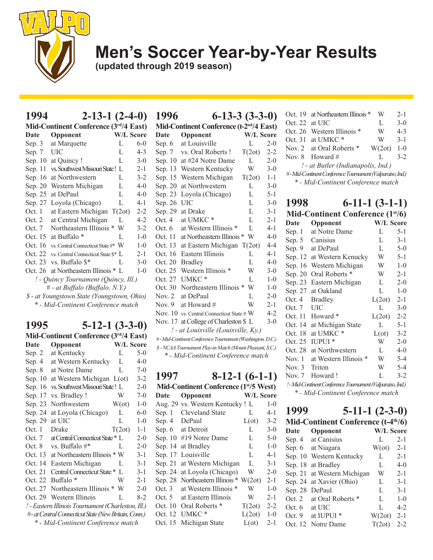

**(updated through 2019 season)**

### **1994 2-13-1 (2-4-0)**

| Mid-Continent Conference (3rd/4 East)       |                                     |   |                  |  |
|---------------------------------------------|-------------------------------------|---|------------------|--|
| Date                                        | Opponent                            |   | <b>W/L Score</b> |  |
| Sep. $3$                                    | at Marquette                        | L | $6 - 0$          |  |
| Sep. 7                                      | UIC                                 | L | $4 - 3$          |  |
| Sep. 10                                     | at Quincy !                         | L | $3-0$            |  |
| Sep. 11                                     | vs. Southwest Missouri State!       | L | $2 - 1$          |  |
| Sep. 16                                     | at Northwestern                     | L | $3 - 2$          |  |
| Sep. 20                                     | Western Michigan                    | L | $4 - 0$          |  |
| Sep. 25                                     | at DePaul                           | L | $4 - 0$          |  |
| Sep. 27                                     | Loyola (Chicago)                    | L | $4 - 1$          |  |
| Oct. 1                                      | at Eastern Michigan T(2ot)          |   | $2 - 2$          |  |
| Oct. 2                                      | at Central Michigan                 | L | $4 - 2$          |  |
| Oct. 7                                      | Northeastern Illinois *             | W | $3-2$            |  |
|                                             | Oct. 15 at Buffalo <sup>*</sup>     | L | $1-0$            |  |
| Oct. 16                                     | vs. Central Connecticut State #* W  |   | $1 - 0$          |  |
| Oct. 22                                     | vs. Central Connecticut State \$* L |   | $2 - 1$          |  |
| Oct. 23                                     | vs. Buffalo \$*                     | L | $3 - 0$          |  |
| Oct. 26                                     | at Northeastern Illinois * L        |   | $1 - 0$          |  |
| ! - Quincy Tournament (Quincy, Ill.)        |                                     |   |                  |  |
| # - at Buffalo (Buffalo, N.Y.)              |                                     |   |                  |  |
| \$ - at Youngstown State (Youngstown, Ohio) |                                     |   |                  |  |
| * - Mid-Continent Conference match          |                                     |   |                  |  |

#### **1995 5-12-1 (3-3-0)**

| Mid-Continent Conference (3rd/4 East) |                                                      |                  |         |
|---------------------------------------|------------------------------------------------------|------------------|---------|
| Date                                  | Opponent                                             | <b>W/L Score</b> |         |
| Sep. 2                                | at Kentucky                                          | L                | $5-0$   |
| Sep. 4                                | at Western Kentucky                                  | L                | 4-0     |
| Sep. 8                                | at Notre Dame                                        | L                | $7-0$   |
| Sep. 10                               | at Western Michigan L(ot)                            |                  | $3 - 2$ |
| Sep. 16                               | vs. Southwest Missouri State! L                      |                  | $2 - 0$ |
| Sep. 17                               | vs. Bradley!                                         | W                | $7 - 0$ |
| Sep. 23                               | Northwestern                                         | $W(\sigma t)$    | $1 - 0$ |
| Sep. 24                               | at Loyola (Chicago)                                  | L                | $6 - 0$ |
| Sep. 29                               | at UIC                                               | L                | $1 - 0$ |
| Oct. 1                                | Drake                                                | T(2ot)           | $1 - 1$ |
| Oct. 7                                | at Central Connecticut State * L                     |                  | $2 - 0$ |
| Oct. 8                                | vs. Buffalo #*                                       | L                | $2 - 0$ |
| Oct. 13                               | at Northeastern Illinois * W                         |                  | $3-1$   |
| Oct. 14                               | Eastern Michigan                                     | L                | $3 - 1$ |
| Oct. 21                               | Central Connecticut State*                           | L                | $3 - 1$ |
| Oct. 22                               | Buffalo <sup>*</sup>                                 | W                | $2 - 1$ |
| Oct. 27                               | Northeastern Illinois *                              | W                | $2 - 0$ |
| Oct. 29                               | Western Illinois                                     | L                | $8-2$   |
|                                       | ! - Eastern Illinois Tournament (Charleston, Ill.)   |                  |         |
|                                       | #- at Central Connecticut State (New Britain, Conn.) |                  |         |
|                                       | * - Mid-Continent Conference match                   |                  |         |

| 1996     | $6-13-3(3-3-0)$                                           |                  |         |
|----------|-----------------------------------------------------------|------------------|---------|
|          | Mid-Continent Conference (t-2 <sup>nd</sup> /4 East)      |                  |         |
| Date     | Opponent                                                  | <b>W/L Score</b> |         |
| Sep. 6   | at Louisville                                             | L                | $2 - 0$ |
| Sep. 7   | vs. Oral Roberts!                                         | T(2ot)           | $2 - 2$ |
| Sep. 10  | at #24 Notre Dame                                         | L                | $2 - 0$ |
| Sep. 13  | Western Kentucky                                          | W                | $3 - 0$ |
| Sep. 15  | Western Michigan                                          | T(2ot)           | $1 - 1$ |
| Sep. 20  | at Northwestern                                           | L                | $3-0$   |
| Sep. 23  | Loyola (Chicago)                                          | L                | $5 - 1$ |
| Sep. 26  | UIC                                                       | L                | $3-0$   |
| Sep. 29  | at Drake                                                  | L                | $3 - 1$ |
| Oct.4    | at UMKC <sup>*</sup>                                      | L                | $2 - 1$ |
| Oct.6    | at Western Illinois *                                     | L                | $4 - 1$ |
| Oct. 11  | at Northeastern Illinois *                                | W                | $4 - 0$ |
| Oct. 13  | at Eastern Michigan                                       | T(2ot)           | $4 - 4$ |
| Oct. 16  | Eastern Illinois                                          | L                | $4 - 1$ |
| Oct. 20  | <b>Bradley</b>                                            | L                | $4-0$   |
| Oct. 25  | Western Illinois                                          | W                | $3-0$   |
| Oct. 27  | UMKC <sup>*</sup>                                         | L                | $1 - 0$ |
| Oct. 30  | Northeastern Illinois *                                   | W                | $1-0$   |
| Nov. $2$ | at DePaul                                                 | $\mathbf{L}$     | $2 - 0$ |
| Nov. $9$ | at Howard #                                               | W                | $2 - 1$ |
|          | Nov. 10 vs. Central Connecticut State # $W$               |                  | $4 - 2$ |
| Nov. 17  | at College of Charleston \$ L                             |                  | $3-0$   |
|          | ! - at Louisville (Louisville, Ky.)                       |                  |         |
|          | #-Mid-Continent Conference Tournament (Washington, D.C.)  |                  |         |
|          | \$ - NCAA Tournament Play-in Match (Mount Pleasant, S.C.) |                  |         |
|          | * - Mid-Continent Conference match                        |                  |         |
|          |                                                           |                  |         |

**1997 8-12-1 (6-1-1) Mid-Continent Conference (1st/5 West) Date Opponent W/L Score** Aug. 29 vs. Western Kentucky ! L 1-0 Sep. 1 Cleveland State L 4-1 Sep. 4 DePaul  $L(\text{ot})$  3-2 Sep. 6 at Detroit L 3-0 Sep. 10 #19 Notre Dame L 5-0 Sep. 14 at Bradley L 1-0 Sep. 17 Louisville L 4-1 Sep. 21 at Western Michigan L 3-1 Sep. 24 at Loyola (Chicago) W 2-0 Sep. 28 Northeastern Illinois \* W(2ot) 2-1 Oct. 3 at Western Illinois \* W 1-0 Oct. 5 at Eastern Illinois W 2-1 Oct. 10 Oral Roberts \* T(2ot) 2-2 Oct. 12 UMKC \* L(2ot) 1-0 Oct. 15 Michigan State L(ot) 2-1

|                                                          | Oct. 19 at Northeastern Illinois * | W      | $2 - 1$ |  |
|----------------------------------------------------------|------------------------------------|--------|---------|--|
| Oct. $22$ at UIC                                         |                                    | L      | $3-0$   |  |
|                                                          | Oct. 26 Western Illinois *         | W      | $4 - 3$ |  |
|                                                          | Oct. 31 at UMKC $*$                | W      | $3 - 1$ |  |
|                                                          | Nov. 2 at Oral Roberts *           | W(2ot) | $1 - 0$ |  |
|                                                          | Nov. 8 Howard #                    |        | $3 - 2$ |  |
| ! - at Butler (Indianapolis, Ind.)                       |                                    |        |         |  |
| #-Mid-Continent Conference Tournament (Valparaiso, Ind.) |                                    |        |         |  |
| * - Mid-Continent Conference match                       |                                    |        |         |  |

| 1998        | $6-11-1(3-1-1)$<br>Mid-Continent Conference (1 <sup>st/6)</sup> |                  |         |
|-------------|-----------------------------------------------------------------|------------------|---------|
| <b>Date</b> | Opponent                                                        | <b>W/L Score</b> |         |
|             |                                                                 |                  |         |
| Sep. 1      | at Notre Dame                                                   | L                | $5 - 1$ |
| Sep. $5$    | Canisius                                                        | L                | $3 - 1$ |
| Sep. 9      | at DePaul                                                       | L                | $5-0$   |
| Sep. 12     | at Western Kenucky                                              | W                | $5 - 1$ |
| Sep. 16     | Western Michigan                                                | W                | $1 - 0$ |
| Sep. 20     | Oral Roberts *                                                  | W                | $2 - 1$ |
| Sep. 23     | Eastern Michigan                                                | L                | $2 - 0$ |
| Sep. 27     | at Oakland                                                      | L                | $1-0$   |
| Oct. 4      | <b>Bradley</b>                                                  | L(2ot)           | $2 - 1$ |
| Oct. 7      | <b>UIC</b>                                                      | L                | $3 - 0$ |
| Oct. 11     | Howard *                                                        | L(2ot)           | $2 - 2$ |
| Oct. 14     | at Michigan State                                               | L                | $5 - 1$ |
| Oct. 18     | at UMKC <sup>*</sup>                                            | $L(\sigma t)$    | $3 - 2$ |
| Oct. 25     | <b>IUPUI</b> *                                                  | W                | $2 - 0$ |
| Oct. 28     | at Northwestern                                                 | L                | $4 - 0$ |
| Now.1       | at Western Illinois                                             | W                | $5 - 4$ |
| Nov. $3$    | Triton                                                          | W                | $5 - 4$ |
| Nov. 7      | Howard!                                                         | L                | $3 - 2$ |
|             | ! - Mid-Continent Conference Tournament (Valparaiso, Ind.)      |                  |         |

*\* - Mid-Continent Conference match*

| 1999     | $5-11-1(2-3-0)$                                 |                  |         |
|----------|-------------------------------------------------|------------------|---------|
|          | Mid-Continent Conference (t-4 <sup>th</sup> /6) |                  |         |
| Date     | Opponent                                        | <b>W/L Score</b> |         |
| Sep. 4   | at Canisius                                     | L                | $2 - 1$ |
|          | Sep. 6 at Niagara                               | $W(\sigma t)$    | $2 - 1$ |
| Sep. 10  | Western Kentucky                                | L                | $2 - 1$ |
| Sep. 18  | at Bradley                                      | L                | $4-0$   |
| Sep. 21  | at Western Michigan                             | W                | $2 - 1$ |
| Sep. 24  | at Xavier (Ohio)                                | L                | $3 - 1$ |
| Sep. 28  | DePaul                                          | L                | $3 - 1$ |
| Oct. $2$ | at Oral Roberts *                               | L                | $1 - 0$ |
| Oct. 6   | at UIC                                          | L                | $4 - 2$ |
| Oct. 9   | at IUPUI <sup>*</sup>                           | W(2ot)           | $2 - 1$ |
|          | Oct. 12 Notre Dame                              | T(2ot)           | $2 - 2$ |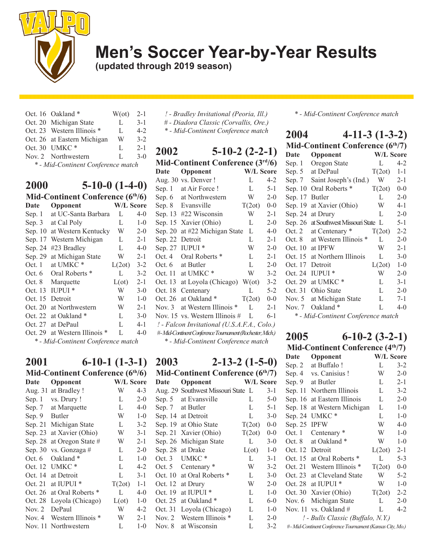

**(updated through 2019 season)**

Oct. 16 Oakland  $*$  W(ot) 2-1 Oct. 20 Michigan State L 3-1 Oct. 23 Western Illinois \* L 4-2 Oct. 26 at Eastern Michigan W 3-2 Oct. 30 UMKC \* L 2-1 Nov. 2 Northwestern L 3-0 *\* - Mid-Continent Conference match*

| 2000     | $5-10-0$ $(1-4-0)$                 |               |         |
|----------|------------------------------------|---------------|---------|
|          | Mid-Continent Conference (6th/6)   |               |         |
| Date     | Opponent                           | W/L Score     |         |
| Sep. 1   | at UC-Santa Barbara                | L             | $4 - 0$ |
| Sep. $3$ | at Cal Poly                        | L             | $1 - 0$ |
| Sep. 10  | at Western Kentucky                | W             | $2 - 0$ |
| Sep. 17  | Western Michigan                   | L             | $2 - 1$ |
| Sep. 24  | #23 Bradley                        | L             | $4-0$   |
| Sep. 29  | at Michigan State                  | W             | $2 - 1$ |
| Oct. 1   | at UMKC <sup>*</sup>               | L(2ot)        | $3 - 2$ |
| Oct. 6   | Oral Roberts *                     | L             | $3 - 2$ |
| Oct. 8   | Marquette                          | $L(\sigma t)$ | $2 - 1$ |
| Oct. 13  | <b>IUPUI</b> *                     | W             | $3-0$   |
| Oct. 15  | Detroit                            | W             | $1 - 0$ |
| Oct. 20  | at Northwestern                    | W             | $2 - 1$ |
| Oct. 22  | at Oakland *                       | L             | $3-0$   |
| Oct. 27  | at DePaul                          | L             | $4 - 1$ |
| Oct. 29  | at Western Illinois *              | L             | $4-0$   |
|          | * - Mid-Continent Conference match |               |         |

## **2001 6-10-1 (1-3-1)**

| Mid-Continent Conference (6th/6) |                       |                  |         |  |
|----------------------------------|-----------------------|------------------|---------|--|
| Date                             | Opponent              | <b>W/L Score</b> |         |  |
| Aug. 31                          | at Bradley !          | W                | $4 - 3$ |  |
| Sep. 1                           | vs. Drury !           | L                | $2 - 0$ |  |
| Sep. $7$                         | at Marquette          | L                | $4-0$   |  |
| Sep. 9                           | <b>Butler</b>         | W                | $1 - 0$ |  |
| Sep. 21                          | Michigan State        | L                | $3 - 2$ |  |
| Sep. 23                          | at Xavier (Ohio)      | W                | $3-1$   |  |
| Sep. 28                          | at Oregon State #     | W                | $2 - 1$ |  |
| Sep. 30                          | vs. Gonzaga #         | L                | $2 - 0$ |  |
| Oct. 6                           | Oakland <sup>*</sup>  | L                | $1 - 0$ |  |
| Oct. 12                          | UMKC*                 | L                | $4 - 2$ |  |
| Oct. 14                          | at Detroit            | L                | $3 - 1$ |  |
| Oct. 21                          | at IUPUI <sup>*</sup> | T(2ot)           | $1 - 1$ |  |
| Oct. 26                          | at Oral Roberts *     | L                | $4 - 0$ |  |
| Oct. 28                          | Loyola (Chicago)      | $L(\sigma t)$    | $1 - 0$ |  |
| Nov. $2$                         | DePaul                | W                | 4-2     |  |
| Nov. 4                           | Western Illinois      | W                | $2 - 1$ |  |
| Nov. 11                          | Northwestern          | L                | $1 - 0$ |  |

- *! Bradley Invitational (Peoria, Ill.) # - Diadora Classic (Corvallis, Ore.)*
- *\* Mid-Continent Conference match*

| 2002     | $5-10-2(2-2-1)$                                          |                    |         |
|----------|----------------------------------------------------------|--------------------|---------|
|          | Mid-Continent Conference $(3rd/6)$                       |                    |         |
| Date     | Opponent                                                 | W/L Score          |         |
|          | Aug. 30 vs. Denver!                                      | L                  | $4-2$   |
| Sep. 1   | at Air Force!                                            | L                  | $5 - 1$ |
|          | Sep. 6 at Northwestern                                   | W                  | $2 - 0$ |
|          | Sep. 8 Evansville                                        | T(2ot)             | $0 - 0$ |
| Sep. 13  | #22 Wisconsin                                            | W                  | $2 - 1$ |
| Sep. 15  | Xavier (Ohio)                                            | L                  | $2 - 0$ |
| Sep. 20  | at #22 Michigan State                                    | L                  | $4 - 0$ |
| Sep. 22  | Detroit                                                  | L                  | $2 - 1$ |
| Sep. 27  | <b>IUPUI</b> *                                           | W                  | $2 - 0$ |
| Oct. 4   | Oral Roberts <sup>*</sup>                                | L                  | $2 - 1$ |
| Oct. $6$ | at Butler                                                | L                  | $2 - 0$ |
|          | Oct. 11 at UMKC $*$                                      | W                  | $3 - 2$ |
|          | Oct. 13 at Loyola (Chicago)                              | $W(\text{ot})$ 3-2 |         |
| Oct. 18  | Centenary                                                | L                  | $5 - 2$ |
| Oct. 26  | at Oakland *                                             | T(2ot)             | $0 - 0$ |
| Nov. $3$ | at Western Illinois *                                    | L                  | $2 - 1$ |
|          | Nov. 15 vs. Western Illinois #                           | L                  | $6-1$   |
|          | ! - Falcon Invitational (U.S.A.F.A., Colo.)              |                    |         |
|          | #-Mid-Continent Conference Tournament (Rochester, Mich.) |                    |         |
|          | * - Mid-Continent Conference match                       |                    |         |

**2003 2-13-2 (1-5-0)** Mid-Continent Conference (6<sup>th</sup>/7) **Date Opponent W/L Score** Aug. 29 Southwest Missouri State L 3-1 Sep. 5 at Evansville L 5-0 Sep. 7 at Butler L 5-1 Sep. 14 at Detroit L 3-0 Sep. 19 at Ohio State  $T(2ot)$  0-0 Sep. 21 Xavier (Ohio)  $T(2ot)$  0-0 Sep. 26 Michigan State L 3-0 Sep. 28 at Drake  $L(\text{ot})$  1-0 Oct. 3 UMKC \* L 3-1 Oct. 5 Centenary \* W 3-2 Oct. 10 at Oral Roberts \* L 3-0 Oct. 12 at Drury W 2-0 Oct. 19 at IUPUI  $*$  L 1-0 Oct. 25 at Oakland \* L 6-0 Oct. 31 Loyola (Chicago) L 1-0 Nov. 2 Western Illinois \* L 2-0 Nov. 8 at Wisconsin L 3-2 *\* - Mid-Continent Conference match*

| 2004     | $4-11-3(1-3-2)$                    |           |         |
|----------|------------------------------------|-----------|---------|
|          | Mid-Continent Conference (6th/7)   |           |         |
| Date     | Opponent                           | W/L Score |         |
| Sep. 1   | Oregon State                       | L         | $4 - 2$ |
| Sep. $5$ | at DePaul                          | T(2ot)    | $1 - 1$ |
| Sep. $7$ | Saint Joseph's (Ind.)              | W         | $2 - 1$ |
| Sep. 10  | Oral Roberts *                     | T(2ot)    | $0 - 0$ |
| Sep. 17  | <b>Butler</b>                      | L         | $2 - 0$ |
| Sep. 19  | at Xavier (Ohio)                   | W         | $4 - 1$ |
| Sep. 24  | at Drury                           | L         | $2 - 0$ |
| Sep. 26  | at Southwest Missouri State L      |           | $5 - 1$ |
| Oct. $2$ | at Centenary *                     | T(2ot)    | $2 - 2$ |
| Oct. 8   | at Western Illinois *              | L         | $2 - 0$ |
| Oct. 10  | at IPFW                            | W         | $2 - 1$ |
| Oct. 15  | at Northern Illinois               | L         | $3-0$   |
| Oct. 17  | Detroit                            | L(2ot)    | $1 - 0$ |
| Oct. 24  | <b>IUPUI</b> *                     | W         | $2 - 0$ |
| Oct. 29  | at UMKC <sup>*</sup>               | L         | $3 - 1$ |
| Oct. 31  | Ohio State                         | L         | $2 - 0$ |
| Nov. $5$ | at Michigan State                  | L         | $7 - 1$ |
| Nov. 7   | Oakland*                           | L         | $4 - 0$ |
|          | * - Mid-Continent Conference match |           |         |

#### **2005 6-10-2 (3-2-1) Mid-Continent Conference (4th/7)**

| <b>FOR THE CONTRACTLY CONTRACTLY</b> |                                                          |                  |         |
|--------------------------------------|----------------------------------------------------------|------------------|---------|
| <b>Date</b>                          | Opponent                                                 | <b>W/L Score</b> |         |
| Sep. $2$                             | at Buffalo !                                             | L                | $3 - 2$ |
| Sep. $4$                             | vs. Canisius !                                           | W                | $2 - 0$ |
| Sep. 9                               | at Butler                                                | L                | $2 - 1$ |
| Sep. 11                              | Northern Illinois                                        | L                | $3 - 2$ |
|                                      | Sep. 16 at Eastern Illinois                              | L                | $2 - 0$ |
| Sep. 18                              | at Western Michigan                                      | L                | $1-0$   |
| Sep. 24                              | UMKC*                                                    | L                | $1-0$   |
| Sep. 25                              | <b>IPFW</b>                                              | W                | $4 - 0$ |
| Oct. 1                               | Centenary *                                              | W                | $1 - 0$ |
| Oct. 8                               | at Oakland*                                              | W                | $1 - 0$ |
| Oct. 12                              | Detroit                                                  | L(2ot)           | $2 - 1$ |
|                                      | Oct. 15 at Oral Roberts *                                | L                | $5 - 3$ |
|                                      | Oct. 21 Western Illinois *                               | T(2ot)           | $0 - 0$ |
| Oct. 23                              | at Cleveland State                                       | W                | $5 - 2$ |
| Oct. 28                              | at IUPUI <sup>*</sup>                                    | W                | $1 - 0$ |
| Oct. 30                              | Xavier (Ohio)                                            | T(2ot)           | $2 - 2$ |
| Nov. 6                               | Michigan State                                           | L                | $2 - 0$ |
| Nov. 11                              | vs. Oakland #                                            | L                | $4 - 2$ |
|                                      | ! - Bulls Classic (Buffalo, N.Y.)                        |                  |         |
|                                      | #-Mid-Continent Conference Tournament (Kansas City, Mo.) |                  |         |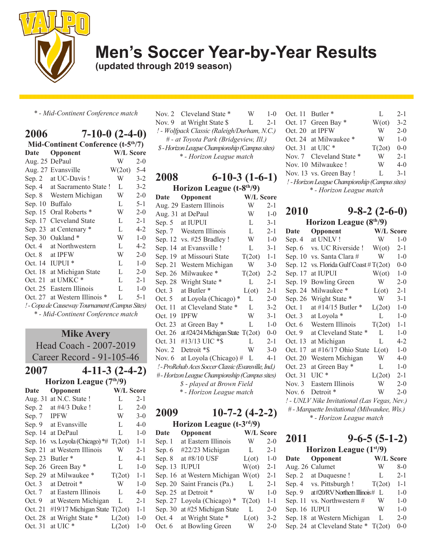

**(updated through 2019 season)**

*\* - Mid-Continent Conference match*

| 2006           | $7-10-0$ $(2-4-0)$                              |                  |         |  |  |
|----------------|-------------------------------------------------|------------------|---------|--|--|
|                | Mid-Continent Conference (t-5 <sup>th</sup> /7) |                  |         |  |  |
| Date           | Opponent                                        | <b>W/L Score</b> |         |  |  |
| Aug. 25 DePaul |                                                 | W                | $2-0$   |  |  |
|                | Aug. 27 Evansville                              | $W(2ot)$ 5-4     |         |  |  |
| Sep. $2$       | at UC-Davis!                                    | W                | $3 - 2$ |  |  |
| Sep. 4         | at Sacramento State !                           | L                | $3 - 2$ |  |  |
|                | Sep. 8 Western Michigan                         | W                | $2 - 0$ |  |  |
| Sep. 10        | <b>Buffalo</b>                                  | L                | $5 - 1$ |  |  |
| Sep. 15        | Oral Roberts *                                  | W                | $2 - 0$ |  |  |
| Sep. 17        | Cleveland State                                 | L                | $2 - 1$ |  |  |
| Sep. 23        | at Centenary *                                  | L                | $4 - 2$ |  |  |
| Sep. 30        | Oakland <sup>*</sup>                            | W                | $1 - 0$ |  |  |
| Oct. 4         | at Northwestern                                 | L                | $4 - 2$ |  |  |
| Oct. 8         | at IPFW                                         | W                | $2 - 0$ |  |  |
|                | Oct. 14 IUPUI *                                 | L                | $1 - 0$ |  |  |
| Oct. 18        | at Michigan State                               | L                | $2 - 0$ |  |  |
| Oct. 21        | at UMKC <sup>*</sup>                            | L                | $2 - 1$ |  |  |
| Oct. 25        | Eastern Illinois                                | L                | $1 - 0$ |  |  |
| Oct. 27        | at Western Illinois *                           | L                | $5 - 1$ |  |  |
|                | ! - Copa de Causeway Tournament (Campus Sites)  |                  |         |  |  |
|                | * - Mid-Continent Conference match              |                  |         |  |  |

| <b>Mike Avery</b> |                                   |                  |         |  |  |  |
|-------------------|-----------------------------------|------------------|---------|--|--|--|
|                   | Head Coach - 2007-2019            |                  |         |  |  |  |
|                   | Career Record - 91-105-46         |                  |         |  |  |  |
| 2007              | $4-11-3(2-4-2)$                   |                  |         |  |  |  |
|                   | Horizon League (7th/9)            |                  |         |  |  |  |
| Date              | Opponent                          | <b>W/L Score</b> |         |  |  |  |
|                   | Aug. 31 at N.C. State !           | L                | $2 - 1$ |  |  |  |
| Sep. 2            | at #4/3 Duke!                     | L                | $2 - 0$ |  |  |  |
| Sep. 7            | <b>IPFW</b>                       | W                | $3-0$   |  |  |  |
| Sep. 9            | at Evansville                     | L.               | $4 - 0$ |  |  |  |
| Sep. 14           | at DePaul                         | L                | $1 - 0$ |  |  |  |
| Sep. 16           | vs. Loyola (Chicago) $*$ # T(2ot) |                  | $1 - 1$ |  |  |  |
| Sep. 21           | at Western Illinois               | W                | $2 - 1$ |  |  |  |
| Sep. 23           | Butler <sup>*</sup>               | L                | $4 - 1$ |  |  |  |
| Sep. 26           | Green Bay *                       | L                | $1 - 0$ |  |  |  |
| Sep. 29           | at Milwaukee*                     | T(2ot)           | $1 - 1$ |  |  |  |
| Oct. $3$          | at Detroit *                      | W                | $1-0$   |  |  |  |
| Oct. $7$          | at Eastern Illinois               | L                | $4 - 0$ |  |  |  |
| Oct. 9            | at Western Michigan               | L                | $2 - 1$ |  |  |  |
| Oct. 21           | #19/17 Michigan State T(2ot)      |                  | $1 - 1$ |  |  |  |
| Oct. 28           | at Wright State *                 | L(2ot)           | $1-0$   |  |  |  |
| Oct. 31           | at UIC *                          | L(2ot)           | $1 - 0$ |  |  |  |
|                   |                                   |                  |         |  |  |  |

|                                             | Nov. 2 Cleveland State *                                | W  | $1 - 0$ |  |
|---------------------------------------------|---------------------------------------------------------|----|---------|--|
|                                             | Nov. 9 at Wright State \$                               | Ι. | $2 - 1$ |  |
| ! - Wolfpack Classic (Raleigh/Durham, N.C.) |                                                         |    |         |  |
| # - at Toyota Park (Bridgeview, Ill.)       |                                                         |    |         |  |
|                                             | $\mathcal{C}$ Lowing Legge Channiqualin (Canonic gives) |    |         |  |

*\$ - Horizon League Championship (Campus sites) \* - Horizon League match*

| 2008                                                | $6-10-3(1-6-1)$                       |                  |         |
|-----------------------------------------------------|---------------------------------------|------------------|---------|
|                                                     | Horizon League (t-8 <sup>th</sup> /9) |                  |         |
| Date                                                | Opponent                              | <b>W/L Score</b> |         |
| Aug. 29                                             | Eastern Illinois                      | W                | $2 - 1$ |
| Aug. 31                                             | at DePaul                             | W                | $1-0$   |
| Sep. 5                                              | at IUPUI                              | L                | $3 - 1$ |
| Sep. 7                                              | Western Illinois                      | L                | $2 - 1$ |
| Sep. 12                                             | vs. #25 Bradley !                     | W                | $1 - 0$ |
| Sep. 14                                             | at Evansville!                        | L                | $3 - 1$ |
| Sep. 19                                             | at Missouri State                     | T(2ot)           | $1 - 1$ |
| Sep. 21                                             | Western Michigan                      | W                | $3 - 0$ |
| Sep. 26                                             | Milwaukee*                            | T(2ot)           | $2 - 2$ |
| Sep. 28                                             | Wright State *                        | L                | $2 - 1$ |
| Oct.3                                               | at Butler <sup>*</sup>                | $L(\sigma t)$    | $2 - 1$ |
| Oct. $5$                                            | at Loyola (Chicago)                   | L                | $2 - 0$ |
| Oct. 11                                             | at Cleveland State *                  | L                | $3 - 2$ |
| Oct. 19                                             | <b>IPFW</b>                           | W                | $3 - 1$ |
| Oct. 23                                             | at Green Bay *                        | L                | $1 - 0$ |
| Oct. 26                                             | at #24/24 Michigan State $T(2ot)$     |                  | $0 - 0$ |
| Oct. 31                                             | #13/13 UIC *\$                        | L                | $2 - 1$ |
| Nov. $2$                                            | Detroit *\$                           | W                | $3 - 0$ |
| Nov. $6$                                            | at Loyola (Chicago) #                 | L                | 4-1     |
| ! - ProRehab Aces Soccer Classic (Evansville, Ind.) |                                       |                  |         |
| #-Horizon League Championship (Campus sites)        |                                       |                  |         |
| \$ - played at Brown Field                          |                                       |                  |         |
| * - Horizon League match                            |                                       |                  |         |

## **2009 10-7-2 (4-2-2)**

| Horizon League $(t-3rd/9)$ |                                   |                  |         |
|----------------------------|-----------------------------------|------------------|---------|
| Date                       | Opponent                          | <b>W/L Score</b> |         |
| Sep. 1                     | at Eastern Illinois               | W                | $2 - 0$ |
| Sep. 6                     | #22/23 Michigan                   | L                | $2 - 1$ |
| Sep. 8                     | at #8/10 USF                      | $L(\sigma t)$    | $1 - 0$ |
| Sep. 13                    | <b>IUPUI</b>                      | $W(\alpha t)$    | $2 - 1$ |
|                            | Sep. 16 at Western Michigan W(ot) |                  | $2 - 1$ |
|                            | Sep. 20 Saint Francis (Pa.)       | L                | $2 - 1$ |
|                            | Sep. 25 at Detroit *              | W                | $1 - 0$ |
| Sep. 27                    | Loyola (Chicago) *                | T(2ot)           | $1 - 1$ |
|                            | Sep. 30 at #25 Michigan State     | L                | $2 - 0$ |
| Oct. $4$                   | at Wright State *                 | $L(\text{ot})$   | $3 - 2$ |
| Oct. 6                     | at Bowling Green                  | W                | $2 - 0$ |
|                            |                                   |                  |         |

| Oct. 11 Butler *                               | L      | $2 - 1$            |  |
|------------------------------------------------|--------|--------------------|--|
| Oct. 17 Green Bay *                            |        |                    |  |
| Oct. 20 at IPFW                                | W      | $2 - 0$            |  |
| Oct. 24 at Milwaukee *                         | W      | $1-0$              |  |
| Oct. 31 at UIC $*$                             | T(2ot) | $0 - 0$            |  |
| Nov. 7 Cleveland State *                       | W      | $2 - 1$            |  |
| Nov. 10 Milwaukee!                             | W      | $4-0$              |  |
| Nov. 13 vs. Green Bay!                         | L      | $3-1$              |  |
| ! - Horizon League Championship (Campus sites) |        |                    |  |
| * - Horizon League match                       |        |                    |  |
|                                                |        | $W(\text{ot})$ 3-2 |  |

| 2010                                         | $9 - 8 - 2(2 - 6 - 0)$            |                  |         |
|----------------------------------------------|-----------------------------------|------------------|---------|
|                                              | Horizon League $(8th/9)$          |                  |         |
| Date                                         | Opponent                          | <b>W/L Score</b> |         |
| Sep. 4                                       | at UNLV!                          | W                | $1 - 0$ |
| Sep. 6                                       | vs. UC Riverside !                | $W(\sigma t)$    | $2 - 1$ |
| Sep. 10                                      | vs. Santa Clara #                 | W                | $1 - 0$ |
| Sep. 12                                      | vs. Florida Gulf Coast $\#T(2ot)$ |                  | $0 - 0$ |
| Sep. 17                                      | at IUPUI                          | $W(\alpha t)$    | $1 - 0$ |
| Sep. 19                                      | <b>Bowling Green</b>              | W                | $2 - 0$ |
| Sep. 24                                      | Milwaukee*                        | $L(\sigma t)$    | $2 - 1$ |
| Sep. 26                                      | Wright State *                    | W                | $3-1$   |
| Oct. 1                                       | at #14/15 Butler $*$              | L(2ot)           | $1 - 0$ |
| Oct. $3$                                     | at Loyola *                       | L                | $1 - 0$ |
| Oct. $6$                                     | Western Illinois                  | T(2ot)           | $1 - 1$ |
| Oct.9                                        | at Cleveland State *              | L                | $1 - 0$ |
| Oct. 13                                      | at Michigan                       | L                | $4 - 2$ |
| Oct. 17                                      | at #16/17 Ohio State              | $L(\text{ot})$   | $1 - 0$ |
| Oct. 20                                      | Western Michigan                  | W                | $4-0$   |
| Oct. 23                                      | at Green Bay *                    | L                | $1 - 0$ |
| Oct. 31                                      | $UL^*$                            | L(2ot)           | $2 - 1$ |
| Nov. $3$                                     | Eastern Illinois                  | W                | $2 - 0$ |
| Nov. $6$                                     | Detroit <sup>*</sup>              | W                | $2 - 0$ |
| ! - UNLV Nike Invitational (Las Vegas, Nev.) |                                   |                  |         |
| # - Marquette Invitational (Milwaukee, Wis.) |                                   |                  |         |
| * - Horizon League match                     |                                   |                  |         |

## **2011 9-6-5 (5-1-2)**

| Horizon League $(1st/9)$ |                                       |        |                  |
|--------------------------|---------------------------------------|--------|------------------|
| Date                     | Opponent                              |        | <b>W/L Score</b> |
|                          | Aug. 26 Calumet                       | W      | $8-0$            |
|                          | Sep. 2 at Duquesne!                   | L      | $2 - 1$          |
|                          | Sep. 4 vs. Pittsburgh !               | T(2ot) | $1 - 1$          |
| Sep. $9$                 | at#20/RV Northern Illinois# L         |        | $1 - 0$          |
| Sep. 11                  | vs. Northwestern #                    | W      | $1 - 0$          |
| Sep. 16 IUPUI            |                                       | W      | $1 - 0$          |
|                          | Sep. 18 at Western Michigan           | L      | $2 - 0$          |
|                          | Sep. 24 at Cleveland State $*$ T(2ot) |        | $0 - 0$          |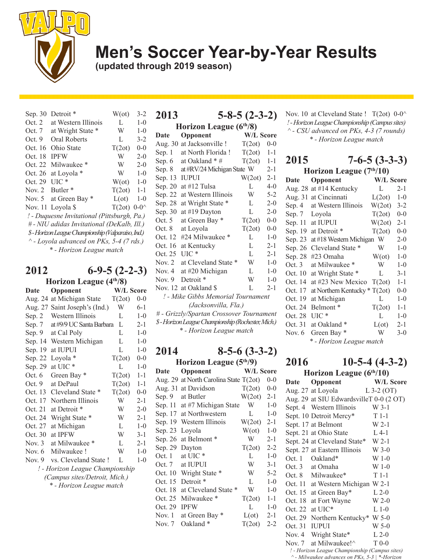

**(updated through 2019 season)**

| Sep. 30  | Detroit <sup>*</sup>                               | $W(\alpha t)$         | $3 - 2$ |
|----------|----------------------------------------------------|-----------------------|---------|
| Oct. 2   | at Western Illinois                                | L                     | $1-0$   |
| Oct. 7   | at Wright State *                                  | W                     | $1-0$   |
| Oct.9    | Oral Roberts                                       | L                     | $3 - 2$ |
| Oct. 16  | Ohio State                                         | T(2ot)                | $0 - 0$ |
| Oct. 18  | <b>IPFW</b>                                        | W                     | $2-0$   |
| Oct. 22  | Milwaukee <sup>*</sup>                             | W                     | $2-0$   |
| Oct. 26  | at Loyola *                                        | W                     | $1 - 0$ |
| Oct. 29  | $UIC*$                                             | $W(\alpha t)$         | $1 - 0$ |
| Nov. $2$ | Butler <sup>*</sup>                                | $T(2ot)$ 1-1          |         |
| Nov. $5$ | at Green Bay *                                     | $L(\sigma t)$         | $1 - 0$ |
|          | Nov. 11 Loyola \$                                  | T(2ot) $0-0^{\wedge}$ |         |
|          | ! - Duquesne Invitational (Pittsburgh, Pa.)        |                       |         |
|          | # - NIU adidas Invitational (DeKalb, Ill.)         |                       |         |
|          | \$-Horizon League Championship (Valparaiso, Ind.)  |                       |         |
|          | $^{\wedge}$ - Loyola advanced on PKs, 5-4 (7 rds.) |                       |         |
|          | * - Horizon League match                           |                       |         |
|          |                                                    |                       |         |

## **2012 6-9-5 (2-2-3)**

| Horizon League $(4th/8)$        |                          |           |         |
|---------------------------------|--------------------------|-----------|---------|
| Date                            | Opponent                 | W/L Score |         |
| Aug. 24                         | at Michigan State        | T(2ot)    | $0 - 0$ |
| Aug. 27                         | Saint Joseph's (Ind.)    | W         | $6-1$   |
| Sep. 2                          | Western Illinois         | L         | $1 - 0$ |
| Sep. 7                          | at #9/9 UC Santa Barbara | L         | 2-1     |
| Sep. 9                          | at Cal Poly              | L         | $1-0$   |
| Sep. 14                         | Western Michigan         | L         | $1 - 0$ |
| Sep. 19                         | at IUPUI                 | L         | $1-0$   |
| Sep. 22                         | Loyola *                 | T(2ot)    | $0-0$   |
| Sep. 29                         | at UIC *                 | L         | $1 - 0$ |
| Oct.6                           | Green Bay *              | T(2ot)    | $1 - 1$ |
| Oct.9                           | at DePaul                | T(2ot)    | $1 - 1$ |
| Oct. 13                         | Cleveland State *        | T(2ot)    | $0 - 0$ |
| Oct. 17                         | Northern Illinois        | W         | $2-1$   |
| Oct. 21                         | at Detroit *             | W         | $2 - 0$ |
| Oct. 24                         | Wright State *           | W         | $2 - 1$ |
| Oct. 27                         | at Michigan              | L         | $1 - 0$ |
| Oct. 30                         | at IPFW                  | W         | $3 - 1$ |
| Nov. $3$                        | at Milwaukee *           | L         | $2 - 1$ |
| Nov. $6$                        | Milwaukee!               | W         | $1-0$   |
| Nov. $9$                        | vs. Cleveland State!     | L         | $1-0$   |
| ! - Horizon League Championship |                          |           |         |
| (Campus sites/Detroit, Mich.)   |                          |           |         |
|                                 | * - Horizon League match |           |         |
|                                 |                          |           |         |

| 2013                                              | $5 - 8 - 5(2 - 3 - 2)$     |                  |         |
|---------------------------------------------------|----------------------------|------------------|---------|
|                                                   | Horizon League $(6th/8)$   |                  |         |
| Date                                              | Opponent                   | <b>W/L Score</b> |         |
| Aug. 30                                           | at Jacksonville !          | T(2ot)           | $0 - 0$ |
| Sep. 1                                            | at North Florida!          | T(2ot)           | $1 - 1$ |
| Sep. 6                                            | at Oakland * #             | T(2ot)           | $1 - 1$ |
| Sep. 8                                            | at #RV/24 Michigan State W |                  | $2 - 1$ |
| Sep. 13                                           | <b>IUPUI</b>               | W(2ot)           | $2 - 1$ |
| Sep. 20                                           | at #12 Tulsa               | L                | $4 - 0$ |
| Sep. 22                                           | at Western Illinois        | W                | $5-2$   |
| Sep. 28                                           | at Wright State *          | L                | $2-0$   |
| Sep. 30                                           | at #19 Dayton              | L                | $2 - 0$ |
| Oct. $5$                                          | at Green Bay *             | T(2ot)           | $0 - 0$ |
| Oct. 8                                            | at Loyola                  | T(2ot)           | $0 - 0$ |
| Oct. 12                                           | #24 Milwaukee *            | L                | $1 - 0$ |
| Oct. 16                                           | at Kentucky                | L                | $2 - 1$ |
| Oct. 25                                           | $UL^*$                     | L                | $2 - 1$ |
| Nov. $2$                                          | at Cleveland State         | W                | $1 - 0$ |
| Nov. $4$                                          | at #20 Michigan            | L                | $1-0$   |
| Nov. $9$                                          | Detroit <sup>*</sup>       | W                | $1-0$   |
|                                                   | Nov. 12 at Oakland \$      | L                | $2 - 1$ |
| ! - Mike Gibbs Memorial Tournament                |                            |                  |         |
| (Jacksonvilla, Fla.)                              |                            |                  |         |
| # - Grizzly/Spartan Crossover Tournament          |                            |                  |         |
| \$-Horizon League Championship (Rochester, Mich.) |                            |                  |         |
| * - Horizon League match                          |                            |                  |         |

## **2014 8-5-6 (3-3-2)**

| Horizon League $(5th/9)$ |                                  |               |         |
|--------------------------|----------------------------------|---------------|---------|
| <b>Date</b>              | Opponent                         | W/L Score     |         |
| Aug. 29                  | at North Carolina State $T(2ot)$ |               | $0 - 0$ |
| Aug. 31                  | at Davidson                      | T(2ot)        | $0 - 0$ |
|                          | Sep. 9 at Butler                 | W(2ot)        | $2 - 1$ |
|                          | Sep. 11 at #7 Michigan State     | W             | $1 - 0$ |
| Sep. 17                  | at Northwestern                  | L             | $1 - 0$ |
| Sep. 19                  | Western Illinois                 | W(2ot)        | $2 - 1$ |
| Sep. 23                  | Loyola                           | $W(\sigma t)$ | $1-0$   |
| Sep. 26                  | at Belmont*                      | W             | $2 - 1$ |
| Sep. 29                  | Dayton                           | T(2ot)        | $2 - 2$ |
| Oct. 1                   | at UIC <sup>*</sup>              | L             | $1 - 0$ |
| Oct. 7                   | at IUPUI                         | W             | $3 - 1$ |
| Oct. 10                  | Wright State *                   | W             | $5 - 2$ |
| Oct. 15                  | Detroit <sup>*</sup>             | L             | $1 - 0$ |
| Oct. 18                  | at Cleveland State *             | W             | $1 - 0$ |
| Oct. 25                  | Milwaukee <sup>*</sup>           | T(2ot)        | $1 - 1$ |
| Oct. 29                  | <b>IPFW</b>                      | L             | $1 - 0$ |
| Nov. 1                   | at Green Bay *                   | $L(\sigma t)$ | $2 - 1$ |
| Nov. $7$                 | Oakland *                        | T(2ot)        | $2 - 2$ |

Nov. 10 at Cleveland State !  $T(2ot)$  0-0<sup> $\land$ </sup> *! - Horizon League Championship (Campus sites) ^ - CSU advanced on PKs, 4-3 (7 rounds) \* - Horizon League match*

## **2015 7-6-5 (3-3-3)**

| Horizon League (7th/10)  |                                 |                  |         |
|--------------------------|---------------------------------|------------------|---------|
| Date                     | Opponent                        | <b>W/L Score</b> |         |
| Aug. 28                  | at #14 Kentucky                 | L                | $2 - 1$ |
| Aug. 31                  | at Cincinnati                   | L(2ot)           | $1 - 0$ |
| Sep. 4                   | at Western Illinois             | W(2ot)           | $3 - 2$ |
| Sep. $7$                 | Loyola                          | T(2ot)           | $0 - 0$ |
| Sep. 11                  | at IUPUI                        | W(2ot)           | 2-1     |
| Sep. 19                  | at Detroit *                    | T(2ot)           | $0 - 0$ |
| Sep. 23                  | at #18 Western Michigan         | W                | $2 - 0$ |
| Sep. 26                  | Cleveland State *               | W                | $1 - 0$ |
| Sep. 28                  | #23 Omaha                       | $W(\alpha t)$    | $1 - 0$ |
| Oct.3                    | at Milwaukee *                  | W                | $1 - 0$ |
| Oct. 10                  | at Wright State *               | L                | $3 - 1$ |
| Oct. 14                  | at #23 New Mexico $T(2ot)$      |                  | $1 - 1$ |
| Oct. 17                  | at Northern Kentucky $* T(2ot)$ |                  | $0 - 0$ |
| Oct. 19                  | at Michigan                     | L                | $1 - 0$ |
| Oct. 24                  | Belmont*                        | T(2ot)           | $1 - 1$ |
| Oct. 28                  | $UIC*$                          | L                | $1 - 0$ |
| Oct. 31                  | at Oakland *                    | $L(\text{ot})$   | $2 - 1$ |
| Nov. 6                   | Green Bay *                     | W                | $3-0$   |
| * - Horizon League match |                                 |                  |         |

### **2016 10-5-4 (4-3-2)**

| Horizon League $(6th/10)$ |                                                |              |  |
|---------------------------|------------------------------------------------|--------------|--|
| <b>Date</b>               | Opponent                                       | W/L Score    |  |
|                           | Aug. 27 at Loyola                              | L $3-2$ (OT) |  |
|                           | Aug. 29 at SIU EdwardsvilleT 0-0 (2 OT)        |              |  |
|                           | Sept. 4 Western Illinois                       | $W$ 3-1      |  |
|                           | Sept. 10 Detroit Mercy*                        | $T1-1$       |  |
|                           | Sept. 17 at Belmont                            | $W$ 2-1      |  |
|                           | Sept. 21 at Ohio State                         | $L$ 4-1      |  |
|                           | Sept. 24 at Cleveland State* W 2-1             |              |  |
|                           | Sept. 27 at Eastern Illinois                   | W 3-0        |  |
|                           | Oct. 1 Oakland*                                | $W_1-0$      |  |
|                           | Oct. 3 at Omaha                                | W 1-0        |  |
|                           | Oct. 8 Milwaukee*                              | $T1-1$       |  |
|                           | Oct. 11 at Western Michigan W 2-1              |              |  |
|                           | Oct. 15 at Green Bay*                          | $L$ 2-0      |  |
| Oct. 18                   | at Fort Wayne                                  | $W$ 2-0      |  |
| Oct. 22                   | at UIC <sup>*</sup>                            | $L_1-0$      |  |
|                           | Oct. 29 Northern Kentucky* W 5-0               |              |  |
| Oct. 31                   | <b>IUPUI</b>                                   | $W$ 5-0      |  |
|                           | Nov. 4 Wright State*                           | $L$ 2-0      |  |
| Nov. 7                    | at Milwaukee!^                                 | $T_{0-0}$    |  |
|                           | ! - Horizon League Championship (Campus sites) |              |  |
|                           | ^ - Milwaukee advances on PKs, 5-3   *-Horizon |              |  |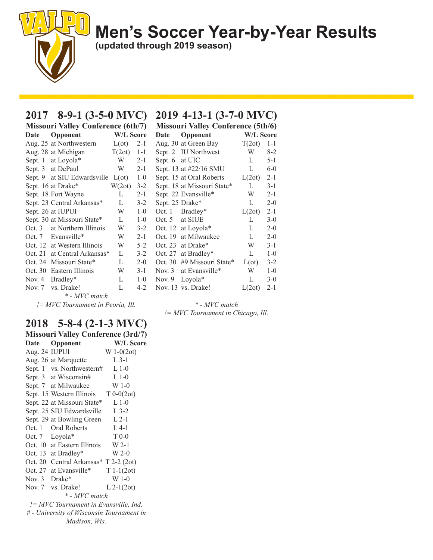**(updated through 2019 season)**

### **2017 8-9-1 (3-5-0 MVC) 2019 4-13-1 (3-7-0 MVC)**

| <b>Missouri Valley Conference (6th/7)</b> |                             |                                                                                                                                                                                                                                |         |  |  |
|-------------------------------------------|-----------------------------|--------------------------------------------------------------------------------------------------------------------------------------------------------------------------------------------------------------------------------|---------|--|--|
| Date                                      | Opponent                    | <b>W/L Score</b>                                                                                                                                                                                                               |         |  |  |
|                                           | Aug. 25 at Northwestern     | $L(\text{ot})$                                                                                                                                                                                                                 | $2 - 1$ |  |  |
|                                           | Aug. 28 at Michigan         | $T(2ot)$ 1-1                                                                                                                                                                                                                   |         |  |  |
|                                           | Sept. 1 at Loyola*          | $W = 2-1$                                                                                                                                                                                                                      |         |  |  |
|                                           | Sept. 3 at DePaul           | W and the set of the set of the set of the set of the set of the set of the set of the set of the set of the set of the set of the set of the set of the set of the set of the set of the set of the set of the set of the set | $2 - 1$ |  |  |
|                                           | Sept. 9 at SIU Edwardsville | $L(\text{ot})$ 1-0                                                                                                                                                                                                             |         |  |  |
|                                           | Sept. 16 at Drake*          | $W(2ot)$ 3-2                                                                                                                                                                                                                   |         |  |  |
|                                           | Sept. 18 Fort Wayne         | L                                                                                                                                                                                                                              | $2 - 1$ |  |  |
|                                           | Sept. 23 Central Arkansas*  | L                                                                                                                                                                                                                              | $3 - 2$ |  |  |
|                                           | Sept. 26 at IUPUI           | W                                                                                                                                                                                                                              | $1-0$   |  |  |
|                                           | Sept. 30 at Missouri State* | L                                                                                                                                                                                                                              | $1 - 0$ |  |  |
|                                           | Oct. 3 at Northern Illinois | W                                                                                                                                                                                                                              | $3 - 2$ |  |  |
|                                           | Oct. 7 Evansville*          | W                                                                                                                                                                                                                              | $2 - 1$ |  |  |
|                                           | Oct. 12 at Western Illinois | W                                                                                                                                                                                                                              | $5 - 2$ |  |  |
| Oct. 21                                   | at Central Arkansas*        | L                                                                                                                                                                                                                              | $3 - 2$ |  |  |
| Oct. 24                                   | Missouri State*             | L                                                                                                                                                                                                                              | $2 - 0$ |  |  |
| Oct. 30                                   | Eastern Illinois            | W                                                                                                                                                                                                                              | $3-1$   |  |  |
| Nov. $4$                                  | Bradley*                    | L                                                                                                                                                                                                                              | $1 - 0$ |  |  |
| Nov. 7                                    | vs. Drake!                  | L                                                                                                                                                                                                                              | 4-2     |  |  |
|                                           | * - MVC match               |                                                                                                                                                                                                                                |         |  |  |

*!= MVC Tournament in Peoria, Ill.*

### **2018 5-8-4 (2-1-3 MVC)**

| <b>Missouri Valley Conference (3rd/7)</b> |                                        |                  |  |  |
|-------------------------------------------|----------------------------------------|------------------|--|--|
| Date                                      | Opponent                               | <b>W/L Score</b> |  |  |
| Aug. 24 IUPUI                             |                                        | $W 1-0(2ot)$     |  |  |
|                                           | Aug. 26 at Marquette                   | $L$ 3-1          |  |  |
|                                           | Sept. 1 vs. Northwestern#              | $L1-0$           |  |  |
|                                           | Sept. 3 at Wisconsin#                  | $L$ 1-0          |  |  |
|                                           | Sept. 7 at Milwaukee                   | W 1-0            |  |  |
|                                           | Sept. 15 Western Illinois $T 0-0(2ot)$ |                  |  |  |
|                                           | Sept. 22 at Missouri State*            | $L$ 1-0          |  |  |
|                                           | Sept. 25 SIU Edwardsville L 3-2        |                  |  |  |
|                                           | Sept. 29 at Bowling Green L 2-1        |                  |  |  |
|                                           | Oct. 1 Oral Roberts                    | $L$ 4-1          |  |  |
|                                           | Oct. 7 Loyola*                         | $T_{0-0}$        |  |  |
|                                           | Oct. 10 at Eastern Illinois W 2-1      |                  |  |  |
|                                           | Oct. 13 at Bradley*                    | $W$ 2-0          |  |  |
|                                           | Oct. 20 Central Arkansas* T 2-2 (2ot)  |                  |  |  |
|                                           | Oct. 27 at Evansville*                 | $T 1-1(2ot)$     |  |  |
| Nov. $3$ Drake*                           |                                        | $W_1-0$          |  |  |
|                                           | Nov. 7 vs. Drake!                      | $L$ 2-1(2ot)     |  |  |
| * - MVC match                             |                                        |                  |  |  |
| != MVC Tournament in Evansville, Ind.     |                                        |                  |  |  |
| # - University of Wisconsin Tournament in |                                        |                  |  |  |
| Madison, Wis.                             |                                        |                  |  |  |

| (7)     | <b>Missouri Valley Conference (5th/6)</b> |                             |                  |         |  |  |
|---------|-------------------------------------------|-----------------------------|------------------|---------|--|--|
| ore     | <b>Date</b>                               | <b>Opponent</b>             | <b>W/L Score</b> |         |  |  |
| $2 - 1$ |                                           | Aug. 30 at Green Bay        | T(2ot)           | $1 - 1$ |  |  |
| $1 - 1$ |                                           | Sept. 2 IU Northwest        | W                | $8-2$   |  |  |
| $2 - 1$ | Sept. 6 at UIC                            |                             | L                | $5 - 1$ |  |  |
| 2-1     |                                           | Sept. 13 at #22/16 SMU      | L                | $6 - 0$ |  |  |
| $1 - 0$ |                                           | Sept. 15 at Oral Roberts    | L(2ot)           | $2 - 1$ |  |  |
| $3-2$   |                                           | Sept. 18 at Missouri State* | L                | $3 - 1$ |  |  |
| $2 - 1$ |                                           | Sept. 22 Evansville*        | W                | $2 - 1$ |  |  |
| $3-2$   | Sept. 25 Drake*                           |                             | L                | $2 - 0$ |  |  |
| $1 - 0$ |                                           | Oct. 1 Bradley*             | L(2ot)           | $2 - 1$ |  |  |
| $1-0$   |                                           | Oct. 5 at SIUE              | L                | $3-0$   |  |  |
| $3-2$   |                                           | Oct. 12 at Loyola*          | L                | $2 - 0$ |  |  |
| 2-1     |                                           | Oct. 19 at Milwaukee        | L                | $2 - 0$ |  |  |
| 5-2     |                                           | Oct. 23 at Drake*           | W                | $3-1$   |  |  |
| $3-2$   | Oct. 27                                   | at Bradley*                 | L                | $1 - 0$ |  |  |
| $2 - 0$ | Oct. 30                                   | #9 Missouri State*          | $L(\sigma t)$    | $3 - 2$ |  |  |
| $3-1$   |                                           | Nov. 3 at Evansville*       | W                | $1 - 0$ |  |  |
| $1 - 0$ | Nov. 9                                    | $Lovola*$                   | L                | $3-0$   |  |  |
| 4-2     |                                           | Nov. 13 vs. Drake!          | L(2ot)           | $2 - 1$ |  |  |

*\* - MVC match != MVC Tournament in Chicago, Ill.*